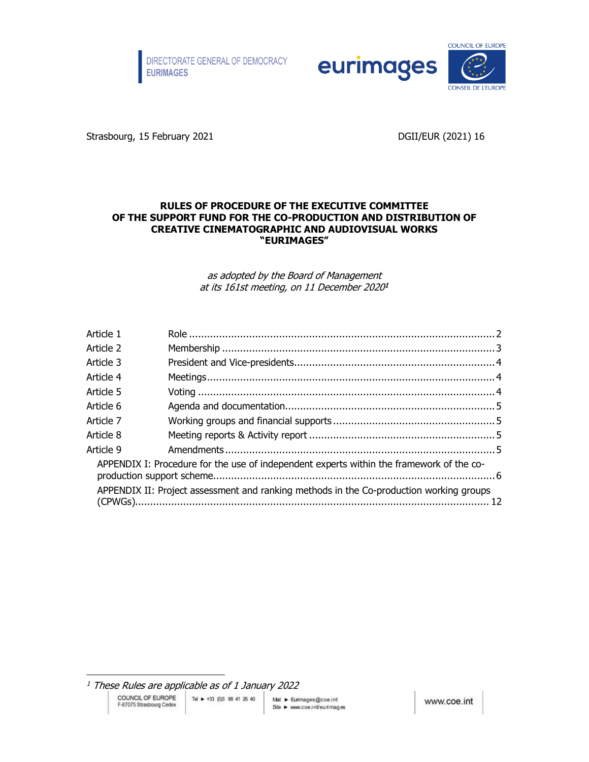



Strasbourg, 15 February 2021 **DGII/EUR (2021)** 16

#### **RULES OF PROCEDURE OF THE EXECUTIVE COMMITTEE OF THE SUPPORT FUND FOR THE CO-PRODUCTION AND DISTRIBUTION OF CREATIVE CINEMATOGRAPHIC AND AUDIOVISUAL WORKS "EURIMAGES"**

as adopted by the Board of Management at its 161st meeting, on 11 December 2020[1](#page-0-0)

| Article 1 |                                                                                          |  |
|-----------|------------------------------------------------------------------------------------------|--|
| Article 2 |                                                                                          |  |
| Article 3 |                                                                                          |  |
| Article 4 |                                                                                          |  |
| Article 5 |                                                                                          |  |
| Article 6 |                                                                                          |  |
| Article 7 |                                                                                          |  |
| Article 8 |                                                                                          |  |
| Article 9 |                                                                                          |  |
|           | APPENDIX I: Procedure for the use of independent experts within the framework of the co- |  |
|           | APPENDIX II: Project assessment and ranking methods in the Co-production working groups  |  |

<span id="page-0-0"></span> $<sup>1</sup>$  These Rules are applicable as of 1 January 2022</sup>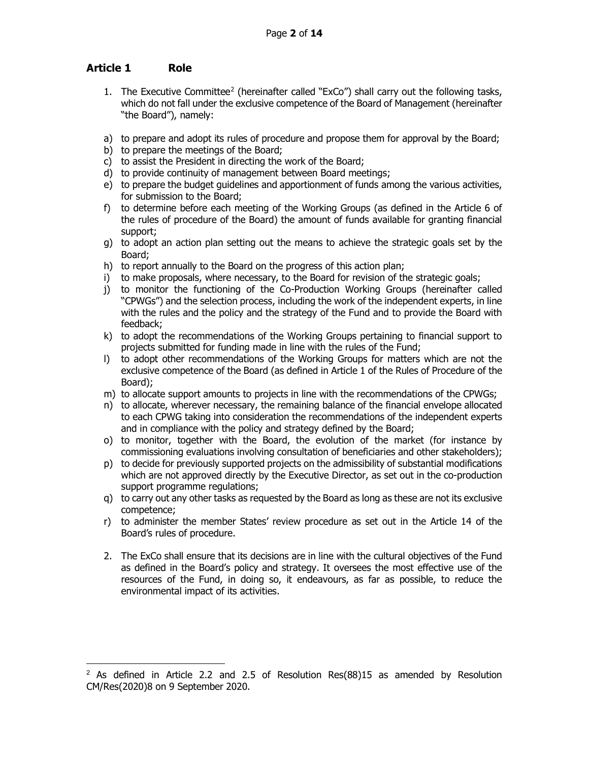# <span id="page-1-0"></span>**Article 1 Role**

- 1. The Executive Committee<sup>[2](#page-1-1)</sup> (hereinafter called "ExCo") shall carry out the following tasks, which do not fall under the exclusive competence of the Board of Management (hereinafter "the Board"), namely:
- a) to prepare and adopt its rules of procedure and propose them for approval by the Board;
- b) to prepare the meetings of the Board;
- c) to assist the President in directing the work of the Board;
- d) to provide continuity of management between Board meetings;
- e) to prepare the budget guidelines and apportionment of funds among the various activities, for submission to the Board;
- f) to determine before each meeting of the Working Groups (as defined in the Article 6 of the rules of procedure of the Board) the amount of funds available for granting financial support;
- g) to adopt an action plan setting out the means to achieve the strategic goals set by the Board;
- h) to report annually to the Board on the progress of this action plan;
- i) to make proposals, where necessary, to the Board for revision of the strategic goals;
- j) to monitor the functioning of the Co-Production Working Groups (hereinafter called "CPWGs") and the selection process, including the work of the independent experts, in line with the rules and the policy and the strategy of the Fund and to provide the Board with feedback;
- k) to adopt the recommendations of the Working Groups pertaining to financial support to projects submitted for funding made in line with the rules of the Fund;
- l) to adopt other recommendations of the Working Groups for matters which are not the exclusive competence of the Board (as defined in Article 1 of the Rules of Procedure of the Board);
- m) to allocate support amounts to projects in line with the recommendations of the CPWGs;
- n) to allocate, wherever necessary, the remaining balance of the financial envelope allocated to each CPWG taking into consideration the recommendations of the independent experts and in compliance with the policy and strategy defined by the Board;
- o) to monitor, together with the Board, the evolution of the market (for instance by commissioning evaluations involving consultation of beneficiaries and other stakeholders);
- p) to decide for previously supported projects on the admissibility of substantial modifications which are not approved directly by the Executive Director, as set out in the co-production support programme regulations;
- q) to carry out any other tasks as requested by the Board as long as these are not its exclusive competence;
- r) to administer the member States' review procedure as set out in the Article 14 of the Board's rules of procedure.
- 2. The ExCo shall ensure that its decisions are in line with the cultural objectives of the Fund as defined in the Board's policy and strategy. It oversees the most effective use of the resources of the Fund, in doing so, it endeavours, as far as possible, to reduce the environmental impact of its activities.

<span id="page-1-1"></span> $2$  As defined in Article 2.2 and 2.5 of Resolution Res(88)15 as amended by Resolution CM/Res(2020)8 on 9 September 2020.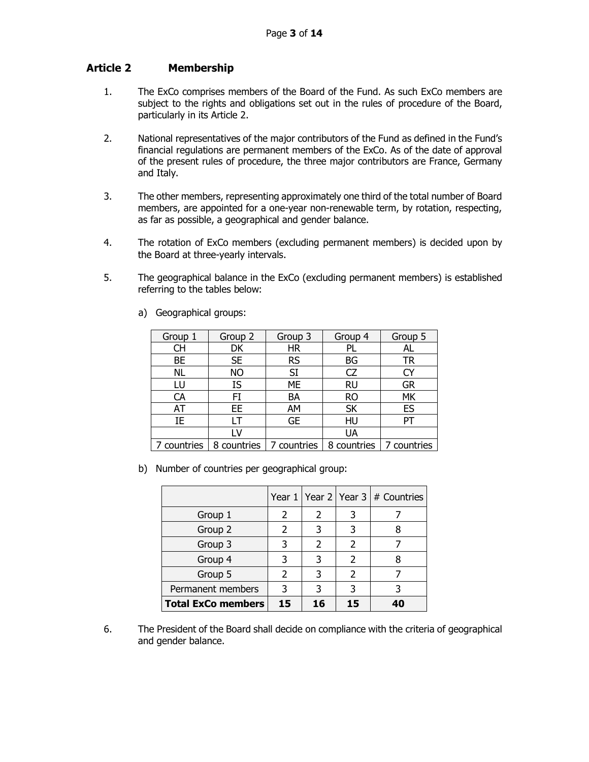# <span id="page-2-0"></span>**Article 2 Membership**

- 1. The ExCo comprises members of the Board of the Fund. As such ExCo members are subject to the rights and obligations set out in the rules of procedure of the Board, particularly in its Article 2.
- 2. National representatives of the major contributors of the Fund as defined in the Fund's financial regulations are permanent members of the ExCo. As of the date of approval of the present rules of procedure, the three major contributors are France, Germany and Italy.
- 3. The other members, representing approximately one third of the total number of Board members, are appointed for a one-year non-renewable term, by rotation, respecting, as far as possible, a geographical and gender balance.
- 4. The rotation of ExCo members (excluding permanent members) is decided upon by the Board at three-yearly intervals.
- 5. The geographical balance in the ExCo (excluding permanent members) is established referring to the tables below:

| Group 1     | Group 2     | Group 3     | Group 4     | Group 5     |
|-------------|-------------|-------------|-------------|-------------|
| <b>CH</b>   | DK          | <b>HR</b>   | PL          | AL          |
| BE          | <b>SE</b>   | RS          | BG          | TR          |
| <b>NL</b>   | <b>NO</b>   | <b>SI</b>   | CZ          | CY          |
| LU          | IS          | ME          | <b>RU</b>   | <b>GR</b>   |
| CA          | FI          | BA          | <b>RO</b>   | MK          |
| AT          | EE          | AM          | <b>SK</b>   | ES          |
| IE          | ١T          | <b>GE</b>   | HU          |             |
|             | LV          |             | UA          |             |
| 7 countries | 8 countries | 7 countries | 8 countries | 7 countries |

a) Geographical groups:

b) Number of countries per geographical group:

|                           |               |    |    | Year $1$ Year $2$ Year $3 \neq 0$ Countries |
|---------------------------|---------------|----|----|---------------------------------------------|
| Group 1                   | $\mathcal{L}$ | 2  |    |                                             |
| Group 2                   |               | 3  |    |                                             |
| Group 3                   | 3             | 2  | 2  |                                             |
| Group 4                   | 3             | 3  | 2  |                                             |
| Group 5                   | $\mathcal{P}$ | 3  | 2  |                                             |
| Permanent members         | 3             | 3  |    |                                             |
| <b>Total ExCo members</b> | 15            | 16 | 15 |                                             |

6. The President of the Board shall decide on compliance with the criteria of geographical and gender balance.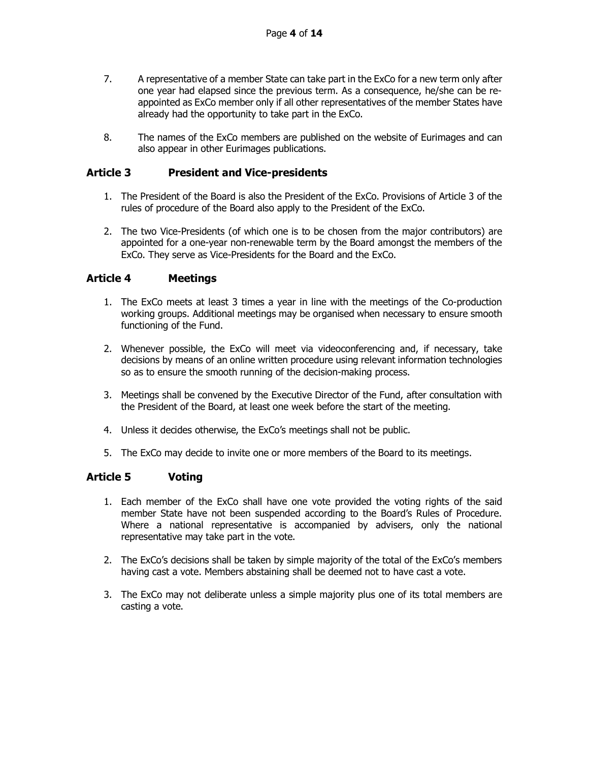- 7. A representative of a member State can take part in the ExCo for a new term only after one year had elapsed since the previous term. As a consequence, he/she can be reappointed as ExCo member only if all other representatives of the member States have already had the opportunity to take part in the ExCo.
- 8. The names of the ExCo members are published on the website of Eurimages and can also appear in other Eurimages publications.

### <span id="page-3-0"></span>**Article 3 President and Vice-presidents**

- 1. The President of the Board is also the President of the ExCo. Provisions of Article 3 of the rules of procedure of the Board also apply to the President of the ExCo.
- 2. The two Vice-Presidents (of which one is to be chosen from the major contributors) are appointed for a one-year non-renewable term by the Board amongst the members of the ExCo. They serve as Vice-Presidents for the Board and the ExCo.

### <span id="page-3-1"></span>**Article 4 Meetings**

- 1. The ExCo meets at least 3 times a year in line with the meetings of the Co-production working groups. Additional meetings may be organised when necessary to ensure smooth functioning of the Fund.
- 2. Whenever possible, the ExCo will meet via videoconferencing and, if necessary, take decisions by means of an online written procedure using relevant information technologies so as to ensure the smooth running of the decision-making process.
- 3. Meetings shall be convened by the Executive Director of the Fund, after consultation with the President of the Board, at least one week before the start of the meeting.
- 4. Unless it decides otherwise, the ExCo's meetings shall not be public.
- 5. The ExCo may decide to invite one or more members of the Board to its meetings.

#### <span id="page-3-2"></span>**Article 5 Voting**

- 1. Each member of the ExCo shall have one vote provided the voting rights of the said member State have not been suspended according to the Board's Rules of Procedure. Where a national representative is accompanied by advisers, only the national representative may take part in the vote.
- 2. The ExCo's decisions shall be taken by simple majority of the total of the ExCo's members having cast a vote. Members abstaining shall be deemed not to have cast a vote.
- 3. The ExCo may not deliberate unless a simple majority plus one of its total members are casting a vote.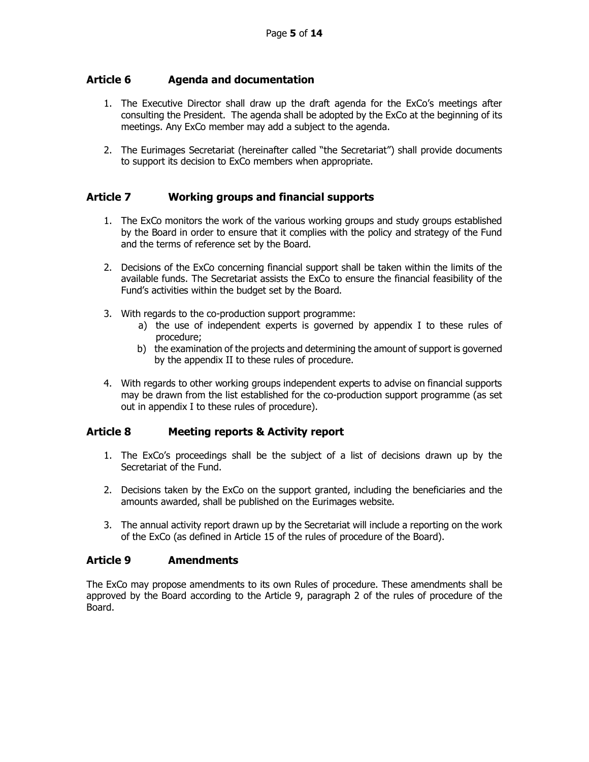# <span id="page-4-0"></span>**Article 6 Agenda and documentation**

- 1. The Executive Director shall draw up the draft agenda for the ExCo's meetings after consulting the President. The agenda shall be adopted by the ExCo at the beginning of its meetings. Any ExCo member may add a subject to the agenda.
- 2. The Eurimages Secretariat (hereinafter called "the Secretariat") shall provide documents to support its decision to ExCo members when appropriate.

### <span id="page-4-1"></span>**Article 7 Working groups and financial supports**

- 1. The ExCo monitors the work of the various working groups and study groups established by the Board in order to ensure that it complies with the policy and strategy of the Fund and the terms of reference set by the Board.
- 2. Decisions of the ExCo concerning financial support shall be taken within the limits of the available funds. The Secretariat assists the ExCo to ensure the financial feasibility of the Fund's activities within the budget set by the Board.
- 3. With regards to the co-production support programme:
	- a) the use of independent experts is governed by appendix I to these rules of procedure;
	- b) the examination of the projects and determining the amount of support is governed by the appendix II to these rules of procedure.
- 4. With regards to other working groups independent experts to advise on financial supports may be drawn from the list established for the co-production support programme (as set out in appendix I to these rules of procedure).

# <span id="page-4-2"></span>**Article 8 Meeting reports & Activity report**

- 1. The ExCo's proceedings shall be the subject of a list of decisions drawn up by the Secretariat of the Fund.
- 2. Decisions taken by the ExCo on the support granted, including the beneficiaries and the amounts awarded, shall be published on the Eurimages website.
- 3. The annual activity report drawn up by the Secretariat will include a reporting on the work of the ExCo (as defined in Article 15 of the rules of procedure of the Board).

# <span id="page-4-3"></span>**Article 9 Amendments**

The ExCo may propose amendments to its own Rules of procedure. These amendments shall be approved by the Board according to the Article 9, paragraph 2 of the rules of procedure of the Board.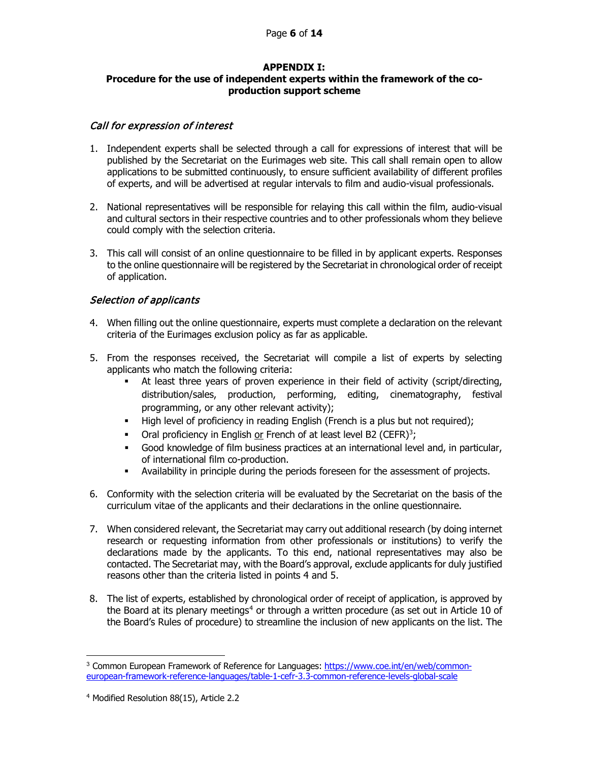#### **APPENDIX I:**

#### <span id="page-5-0"></span>**Procedure for the use of independent experts within the framework of the coproduction support scheme**

#### Call for expression of interest

- 1. Independent experts shall be selected through a call for expressions of interest that will be published by the Secretariat on the Eurimages web site. This call shall remain open to allow applications to be submitted continuously, to ensure sufficient availability of different profiles of experts, and will be advertised at regular intervals to film and audio-visual professionals.
- 2. National representatives will be responsible for relaying this call within the film, audio-visual and cultural sectors in their respective countries and to other professionals whom they believe could comply with the selection criteria.
- 3. This call will consist of an online questionnaire to be filled in by applicant experts. Responses to the online questionnaire will be registered by the Secretariat in chronological order of receipt of application.

# Selection of applicants

- 4. When filling out the online questionnaire, experts must complete a declaration on the relevant criteria of the Eurimages exclusion policy as far as applicable.
- 5. From the responses received, the Secretariat will compile a list of experts by selecting applicants who match the following criteria:
	- At least three years of proven experience in their field of activity (script/directing, distribution/sales, production, performing, editing, cinematography, festival programming, or any other relevant activity);
	- High level of proficiency in reading English (French is a plus but not required);
	- Oral proficiency in English or French of at least level B2 (CEFR)<sup>[3](#page-5-1)</sup>;
	- Good knowledge of film business practices at an international level and, in particular, of international film co-production.
	- Availability in principle during the periods foreseen for the assessment of projects.
- 6. Conformity with the selection criteria will be evaluated by the Secretariat on the basis of the curriculum vitae of the applicants and their declarations in the online questionnaire.
- 7. When considered relevant, the Secretariat may carry out additional research (by doing internet research or requesting information from other professionals or institutions) to verify the declarations made by the applicants. To this end, national representatives may also be contacted. The Secretariat may, with the Board's approval, exclude applicants for duly justified reasons other than the criteria listed in points 4 and 5.
- 8. The list of experts, established by chronological order of receipt of application, is approved by the Board at its plenary meetings<sup>4</sup> or through a written procedure (as set out in Article 10 of the Board's Rules of procedure) to streamline the inclusion of new applicants on the list. The

<span id="page-5-1"></span><sup>3</sup> Common European Framework of Reference for Languages: [https://www.coe.int/en/web/common](https://www.coe.int/en/web/common-european-framework-reference-languages/table-1-cefr-3.3-common-reference-levels-global-scale)[european-framework-reference-languages/table-1-cefr-3.3-common-reference-levels-global-scale](https://www.coe.int/en/web/common-european-framework-reference-languages/table-1-cefr-3.3-common-reference-levels-global-scale)

<span id="page-5-2"></span><sup>4</sup> Modified Resolution 88(15), Article 2.2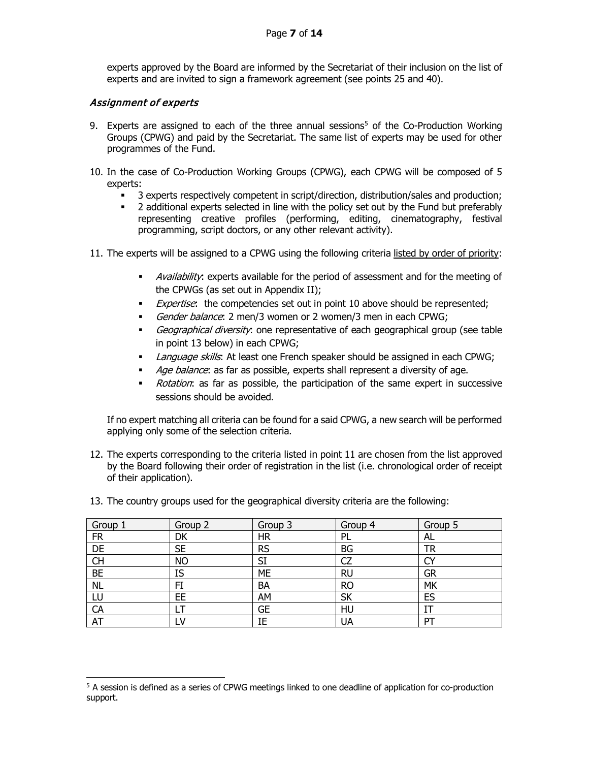#### Page **7** of **14**

experts approved by the Board are informed by the Secretariat of their inclusion on the list of experts and are invited to sign a framework agreement (see points 25 and 40).

### Assignment of experts

- 9. Experts are assigned to each of the three annual sessions<sup>[5](#page-6-0)</sup> of the Co-Production Working Groups (CPWG) and paid by the Secretariat. The same list of experts may be used for other programmes of the Fund.
- 10. In the case of Co-Production Working Groups (CPWG), each CPWG will be composed of 5 experts:
	- 3 experts respectively competent in script/direction, distribution/sales and production;
	- <sup>2</sup> 2 additional experts selected in line with the policy set out by the Fund but preferably representing creative profiles (performing, editing, cinematography, festival programming, script doctors, or any other relevant activity).
- 11. The experts will be assigned to a CPWG using the following criteria listed by order of priority:
	- *Availability*: experts available for the period of assessment and for the meeting of the CPWGs (as set out in Appendix II);
	- Expertise: the competencies set out in point 10 above should be represented;
	- Gender balance: 2 men/3 women or 2 women/3 men in each CPWG;
	- Geographical diversity: one representative of each geographical group (see table in point 13 below) in each CPWG;
	- Language skills: At least one French speaker should be assigned in each CPWG;
	- Age balance: as far as possible, experts shall represent a diversity of age.
	- Rotation: as far as possible, the participation of the same expert in successive sessions should be avoided.

If no expert matching all criteria can be found for a said CPWG, a new search will be performed applying only some of the selection criteria.

- 12. The experts corresponding to the criteria listed in point 11 are chosen from the list approved by the Board following their order of registration in the list (i.e. chronological order of receipt of their application).
- 13. The country groups used for the geographical diversity criteria are the following:

| Group 1   | Group 2   | Group 3   | Group 4   | Group 5   |
|-----------|-----------|-----------|-----------|-----------|
| <b>FR</b> | DK        | <b>HR</b> | PL        | AL        |
| DE        | <b>SE</b> | <b>RS</b> | <b>BG</b> | TR        |
| <b>CH</b> | <b>NO</b> | SI        | CZ        |           |
| <b>BE</b> | IS        | ME        | <b>RU</b> | <b>GR</b> |
| <b>NL</b> | FI        | BA        | <b>RO</b> | <b>MK</b> |
| LU        | EE        | AM        | <b>SK</b> | ES        |
| CA        |           | <b>GE</b> | HU        |           |
| AT        |           | ΙE        | UA        | PT        |

<span id="page-6-0"></span><sup>5</sup> A session is defined as a series of CPWG meetings linked to one deadline of application for co-production support.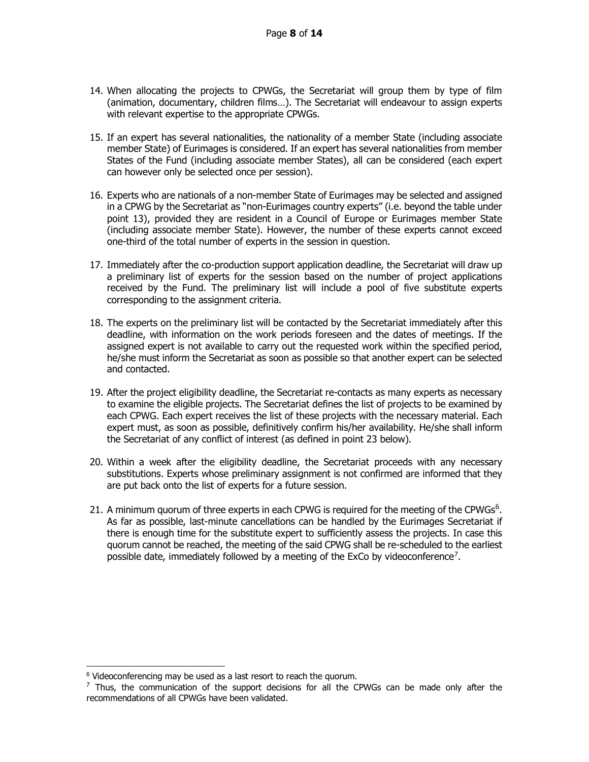- 14. When allocating the projects to CPWGs, the Secretariat will group them by type of film (animation, documentary, children films…). The Secretariat will endeavour to assign experts with relevant expertise to the appropriate CPWGs.
- 15. If an expert has several nationalities, the nationality of a member State (including associate member State) of Eurimages is considered. If an expert has several nationalities from member States of the Fund (including associate member States), all can be considered (each expert can however only be selected once per session).
- 16. Experts who are nationals of a non-member State of Eurimages may be selected and assigned in a CPWG by the Secretariat as "non-Eurimages country experts" (i.e. beyond the table under point 13), provided they are resident in a Council of Europe or Eurimages member State (including associate member State). However, the number of these experts cannot exceed one-third of the total number of experts in the session in question.
- 17. Immediately after the co-production support application deadline, the Secretariat will draw up a preliminary list of experts for the session based on the number of project applications received by the Fund. The preliminary list will include a pool of five substitute experts corresponding to the assignment criteria.
- 18. The experts on the preliminary list will be contacted by the Secretariat immediately after this deadline, with information on the work periods foreseen and the dates of meetings. If the assigned expert is not available to carry out the requested work within the specified period, he/she must inform the Secretariat as soon as possible so that another expert can be selected and contacted.
- 19. After the project eligibility deadline, the Secretariat re-contacts as many experts as necessary to examine the eligible projects. The Secretariat defines the list of projects to be examined by each CPWG. Each expert receives the list of these projects with the necessary material. Each expert must, as soon as possible, definitively confirm his/her availability. He/she shall inform the Secretariat of any conflict of interest (as defined in point 23 below).
- 20. Within a week after the eligibility deadline, the Secretariat proceeds with any necessary substitutions. Experts whose preliminary assignment is not confirmed are informed that they are put back onto the list of experts for a future session.
- 21. A minimum quorum of three experts in each CPWG is required for the meeting of the CPWGs<sup>[6](#page-7-0)</sup>. As far as possible, last-minute cancellations can be handled by the Eurimages Secretariat if there is enough time for the substitute expert to sufficiently assess the projects. In case this quorum cannot be reached, the meeting of the said CPWG shall be re-scheduled to the earliest possible date, immediately followed by a meeting of the ExCo by videoconference<sup>[7](#page-7-1)</sup>.

 $6$  Videoconferencing may be used as a last resort to reach the quorum.

<span id="page-7-1"></span><span id="page-7-0"></span> $7$  Thus, the communication of the support decisions for all the CPWGs can be made only after the recommendations of all CPWGs have been validated.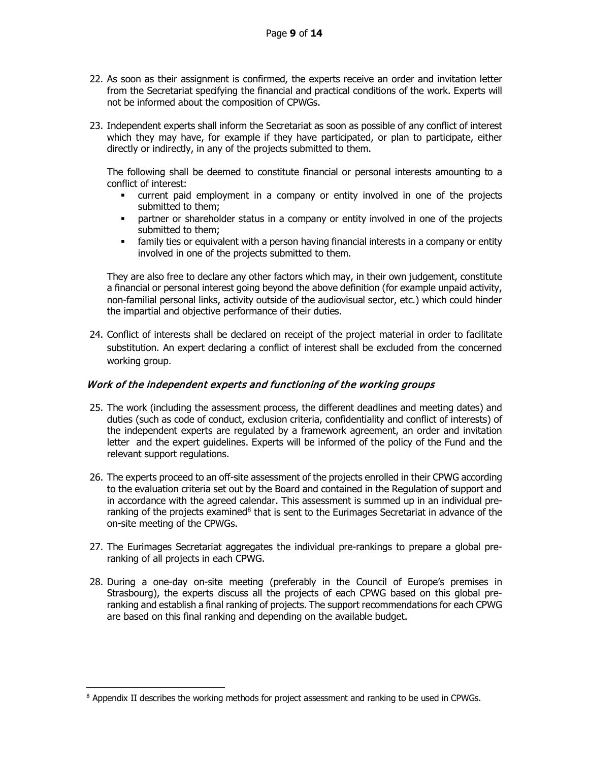- 22. As soon as their assignment is confirmed, the experts receive an order and invitation letter from the Secretariat specifying the financial and practical conditions of the work. Experts will not be informed about the composition of CPWGs.
- 23. Independent experts shall inform the Secretariat as soon as possible of any conflict of interest which they may have, for example if they have participated, or plan to participate, either directly or indirectly, in any of the projects submitted to them.

The following shall be deemed to constitute financial or personal interests amounting to a conflict of interest:

- current paid employment in a company or entity involved in one of the projects submitted to them;
- partner or shareholder status in a company or entity involved in one of the projects submitted to them;
- family ties or equivalent with a person having financial interests in a company or entity involved in one of the projects submitted to them.

They are also free to declare any other factors which may, in their own judgement, constitute a financial or personal interest going beyond the above definition (for example unpaid activity, non-familial personal links, activity outside of the audiovisual sector, etc.) which could hinder the impartial and objective performance of their duties.

24. Conflict of interests shall be declared on receipt of the project material in order to facilitate substitution. An expert declaring a conflict of interest shall be excluded from the concerned working group.

#### Work of the independent experts and functioning of the working groups

- 25. The work (including the assessment process, the different deadlines and meeting dates) and duties (such as code of conduct, exclusion criteria, confidentiality and conflict of interests) of the independent experts are regulated by a framework agreement, an order and invitation letter and the expert guidelines. Experts will be informed of the policy of the Fund and the relevant support regulations.
- 26. The experts proceed to an off-site assessment of the projects enrolled in their CPWG according to the evaluation criteria set out by the Board and contained in the Regulation of support and in accordance with the agreed calendar. This assessment is summed up in an individual pre-ranking of the projects examined<sup>[8](#page-8-0)</sup> that is sent to the Eurimages Secretariat in advance of the on-site meeting of the CPWGs.
- 27. The Eurimages Secretariat aggregates the individual pre-rankings to prepare a global preranking of all projects in each CPWG.
- 28. During a one-day on-site meeting (preferably in the Council of Europe's premises in Strasbourg), the experts discuss all the projects of each CPWG based on this global preranking and establish a final ranking of projects. The support recommendations for each CPWG are based on this final ranking and depending on the available budget.

<span id="page-8-0"></span><sup>8</sup> Appendix II describes the working methods for project assessment and ranking to be used in CPWGs.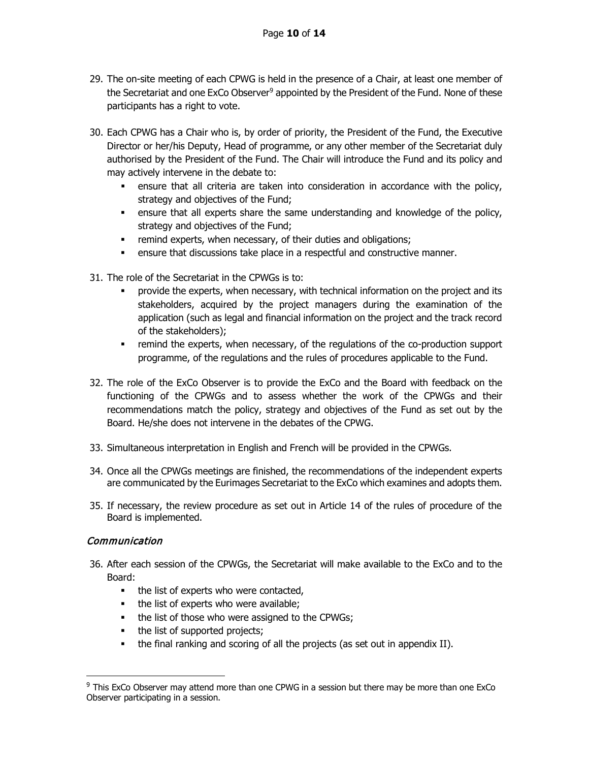- 29. The on-site meeting of each CPWG is held in the presence of a Chair, at least one member of the Secretariat and one ExCo Observer<sup>[9](#page-9-0)</sup> appointed by the President of the Fund. None of these participants has a right to vote.
- 30. Each CPWG has a Chair who is, by order of priority, the President of the Fund, the Executive Director or her/his Deputy, Head of programme, or any other member of the Secretariat duly authorised by the President of the Fund. The Chair will introduce the Fund and its policy and may actively intervene in the debate to:
	- ensure that all criteria are taken into consideration in accordance with the policy, strategy and objectives of the Fund;
	- ensure that all experts share the same understanding and knowledge of the policy, strategy and objectives of the Fund;
	- **Fig. 2** remind experts, when necessary, of their duties and obligations;
	- ensure that discussions take place in a respectful and constructive manner.
- 31. The role of the Secretariat in the CPWGs is to:
	- **•** provide the experts, when necessary, with technical information on the project and its stakeholders, acquired by the project managers during the examination of the application (such as legal and financial information on the project and the track record of the stakeholders);
	- remind the experts, when necessary, of the regulations of the co-production support programme, of the regulations and the rules of procedures applicable to the Fund.
- 32. The role of the ExCo Observer is to provide the ExCo and the Board with feedback on the functioning of the CPWGs and to assess whether the work of the CPWGs and their recommendations match the policy, strategy and objectives of the Fund as set out by the Board. He/she does not intervene in the debates of the CPWG.
- 33. Simultaneous interpretation in English and French will be provided in the CPWGs.
- 34. Once all the CPWGs meetings are finished, the recommendations of the independent experts are communicated by the Eurimages Secretariat to the ExCo which examines and adopts them.
- 35. If necessary, the review procedure as set out in Article 14 of the rules of procedure of the Board is implemented.

# Communication

- 36. After each session of the CPWGs, the Secretariat will make available to the ExCo and to the Board:
	- the list of experts who were contacted,
	- the list of experts who were available;
	- the list of those who were assigned to the CPWGs;
	- the list of supported projects;
	- the final ranking and scoring of all the projects (as set out in appendix II).

<span id="page-9-0"></span><sup>&</sup>lt;sup>9</sup> This ExCo Observer may attend more than one CPWG in a session but there may be more than one ExCo Observer participating in a session.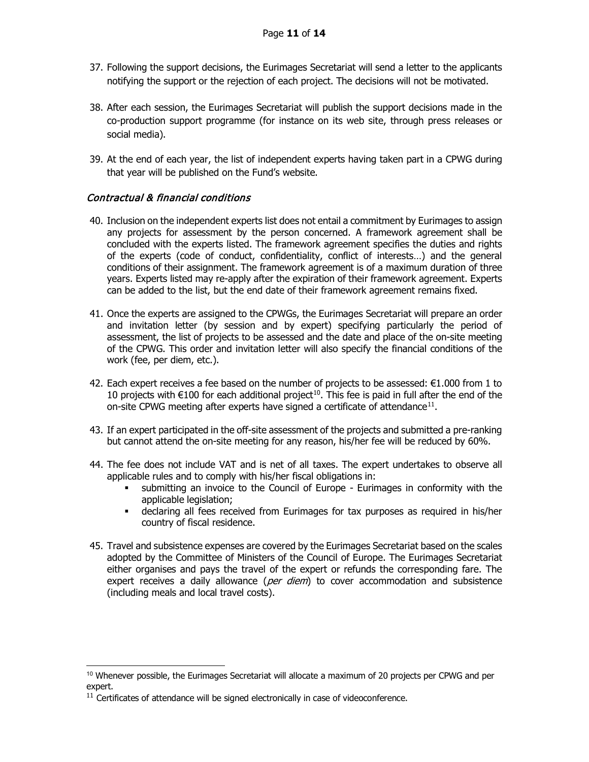- 37. Following the support decisions, the Eurimages Secretariat will send a letter to the applicants notifying the support or the rejection of each project. The decisions will not be motivated.
- 38. After each session, the Eurimages Secretariat will publish the support decisions made in the co-production support programme (for instance on its web site, through press releases or social media).
- 39. At the end of each year, the list of independent experts having taken part in a CPWG during that year will be published on the Fund's website.

### Contractual & financial conditions

- 40. Inclusion on the independent experts list does not entail a commitment by Eurimages to assign any projects for assessment by the person concerned. A framework agreement shall be concluded with the experts listed. The framework agreement specifies the duties and rights of the experts (code of conduct, confidentiality, conflict of interests…) and the general conditions of their assignment. The framework agreement is of a maximum duration of three years. Experts listed may re-apply after the expiration of their framework agreement. Experts can be added to the list, but the end date of their framework agreement remains fixed.
- 41. Once the experts are assigned to the CPWGs, the Eurimages Secretariat will prepare an order and invitation letter (by session and by expert) specifying particularly the period of assessment, the list of projects to be assessed and the date and place of the on-site meeting of the CPWG. This order and invitation letter will also specify the financial conditions of the work (fee, per diem, etc.).
- 42. Each expert receives a fee based on the number of projects to be assessed:  $\epsilon$ 1.000 from 1 to [10](#page-10-0) projects with €100 for each additional project<sup>10</sup>. This fee is paid in full after the end of the on-site CPWG meeting after experts have signed a certificate of attendance $11$ .
- 43. If an expert participated in the off-site assessment of the projects and submitted a pre-ranking but cannot attend the on-site meeting for any reason, his/her fee will be reduced by 60%.
- 44. The fee does not include VAT and is net of all taxes. The expert undertakes to observe all applicable rules and to comply with his/her fiscal obligations in:
	- submitting an invoice to the Council of Europe Eurimages in conformity with the applicable legislation;
	- declaring all fees received from Eurimages for tax purposes as required in his/her country of fiscal residence.
- 45. Travel and subsistence expenses are covered by the Eurimages Secretariat based on the scales adopted by the Committee of Ministers of the Council of Europe. The Eurimages Secretariat either organises and pays the travel of the expert or refunds the corresponding fare. The expert receives a daily allowance ( $per$  diem) to cover accommodation and subsistence (including meals and local travel costs).

<span id="page-10-0"></span><sup>10</sup> Whenever possible, the Eurimages Secretariat will allocate a maximum of 20 projects per CPWG and per expert.

<span id="page-10-1"></span> $11$  Certificates of attendance will be signed electronically in case of videoconference.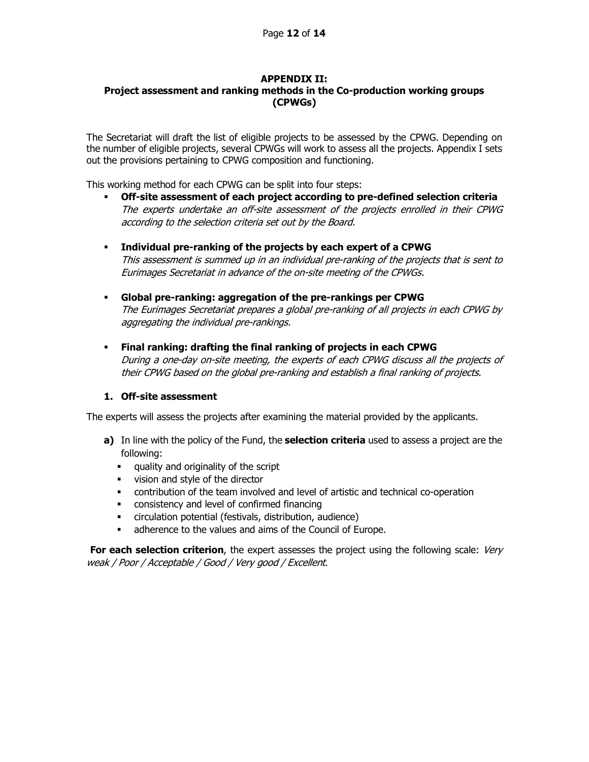# **APPENDIX II:**

# <span id="page-11-0"></span>**Project assessment and ranking methods in the Co-production working groups (CPWGs)**

The Secretariat will draft the list of eligible projects to be assessed by the CPWG. Depending on the number of eligible projects, several CPWGs will work to assess all the projects. Appendix I sets out the provisions pertaining to CPWG composition and functioning.

This working method for each CPWG can be split into four steps:

- **Off-site assessment of each project according to pre-defined selection criteria** The experts undertake an off-site assessment of the projects enrolled in their CPWG according to the selection criteria set out by the Board.
- **Individual pre-ranking of the projects by each expert of a CPWG** This assessment is summed up in an individual pre-ranking of the projects that is sent to Eurimages Secretariat in advance of the on-site meeting of the CPWGs.
- **Global pre-ranking: aggregation of the pre-rankings per CPWG** The Eurimages Secretariat prepares a global pre-ranking of all projects in each CPWG by aggregating the individual pre-rankings.
- **Final ranking: drafting the final ranking of projects in each CPWG** During a one-day on-site meeting, the experts of each CPWG discuss all the projects of their CPWG based on the global pre-ranking and establish a final ranking of projects.

#### **1. Off-site assessment**

The experts will assess the projects after examining the material provided by the applicants.

- **a)** In line with the policy of the Fund, the **selection criteria** used to assess a project are the following:
	- quality and originality of the script
	- vision and style of the director
	- contribution of the team involved and level of artistic and technical co-operation
	- consistency and level of confirmed financing
	- circulation potential (festivals, distribution, audience)
	- **adherence to the values and aims of the Council of Europe.**

**For each selection criterion**, the expert assesses the project using the following scale: Very weak / Poor / Acceptable / Good / Very good / Excellent.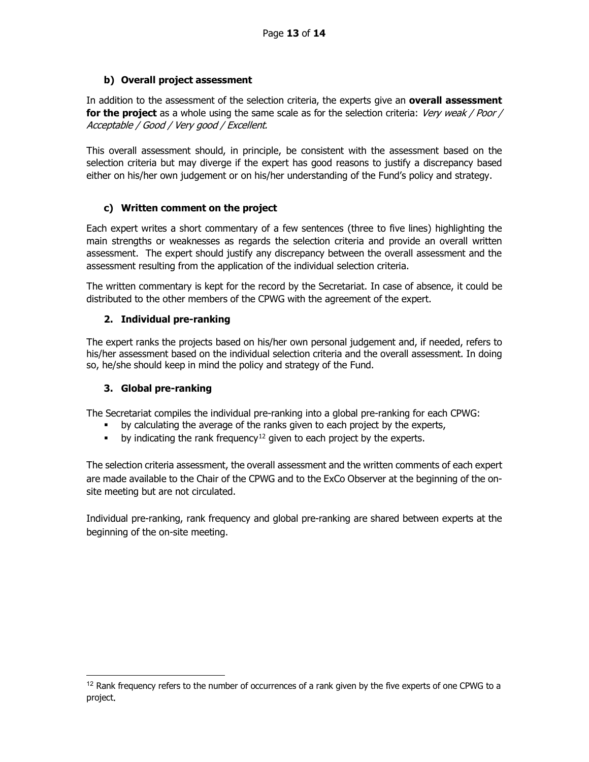# **b) Overall project assessment**

In addition to the assessment of the selection criteria, the experts give an **overall assessment for the project** as a whole using the same scale as for the selection criteria: Very weak / Poor / Acceptable / Good / Very good / Excellent.

This overall assessment should, in principle, be consistent with the assessment based on the selection criteria but may diverge if the expert has good reasons to justify a discrepancy based either on his/her own judgement or on his/her understanding of the Fund's policy and strategy.

# **c) Written comment on the project**

Each expert writes a short commentary of a few sentences (three to five lines) highlighting the main strengths or weaknesses as regards the selection criteria and provide an overall written assessment. The expert should justify any discrepancy between the overall assessment and the assessment resulting from the application of the individual selection criteria.

The written commentary is kept for the record by the Secretariat. In case of absence, it could be distributed to the other members of the CPWG with the agreement of the expert.

# **2. Individual pre-ranking**

The expert ranks the projects based on his/her own personal judgement and, if needed, refers to his/her assessment based on the individual selection criteria and the overall assessment. In doing so, he/she should keep in mind the policy and strategy of the Fund.

# **3. Global pre-ranking**

The Secretariat compiles the individual pre-ranking into a global pre-ranking for each CPWG:

- **•** by calculating the average of the ranks given to each project by the experts,
- by indicating the rank frequency<sup>[12](#page-12-0)</sup> given to each project by the experts.

The selection criteria assessment, the overall assessment and the written comments of each expert are made available to the Chair of the CPWG and to the ExCo Observer at the beginning of the onsite meeting but are not circulated.

Individual pre-ranking, rank frequency and global pre-ranking are shared between experts at the beginning of the on-site meeting.

<span id="page-12-0"></span><sup>&</sup>lt;sup>12</sup> Rank frequency refers to the number of occurrences of a rank given by the five experts of one CPWG to a project.